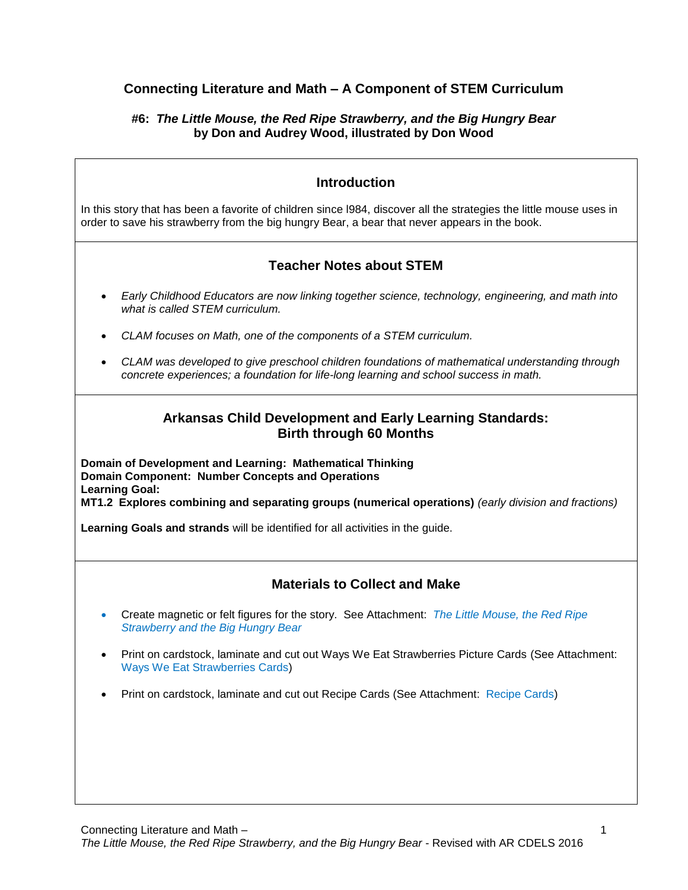## **Connecting Literature and Math – A Component of STEM Curriculum**

### **#6:** *The Little Mouse, the Red Ripe Strawberry, and the Big Hungry Bear* **by Don and Audrey Wood, illustrated by Don Wood**

## **Introduction**

In this story that has been a favorite of children since l984, discover all the strategies the little mouse uses in order to save his strawberry from the big hungry Bear, a bear that never appears in the book.

## **Teacher Notes about STEM**

- *Early Childhood Educators are now linking together science, technology, engineering, and math into what is called STEM curriculum.*
- *CLAM focuses on Math, one of the components of a STEM curriculum.*
- *CLAM was developed to give preschool children foundations of mathematical understanding through concrete experiences; a foundation for life-long learning and school success in math.*

## **Arkansas Child Development and Early Learning Standards: Birth through 60 Months**

**Domain of Development and Learning: Mathematical Thinking Domain Component: Number Concepts and Operations Learning Goal: MT1.2 Explores combining and separating groups (numerical operations)** *(early division and fractions)*

**Learning Goals and strands** will be identified for all activities in the guide.

## **Materials to Collect and Make**

- Create magnetic or felt figures for the story. See Attachment: *The Little Mouse, the Red Ripe Strawberry and the Big Hungry Bear*
- Print on cardstock, laminate and cut out Ways We Eat Strawberries Picture Cards (See Attachment: Ways We Eat Strawberries Cards)
- Print on cardstock, laminate and cut out Recipe Cards (See Attachment: Recipe Cards)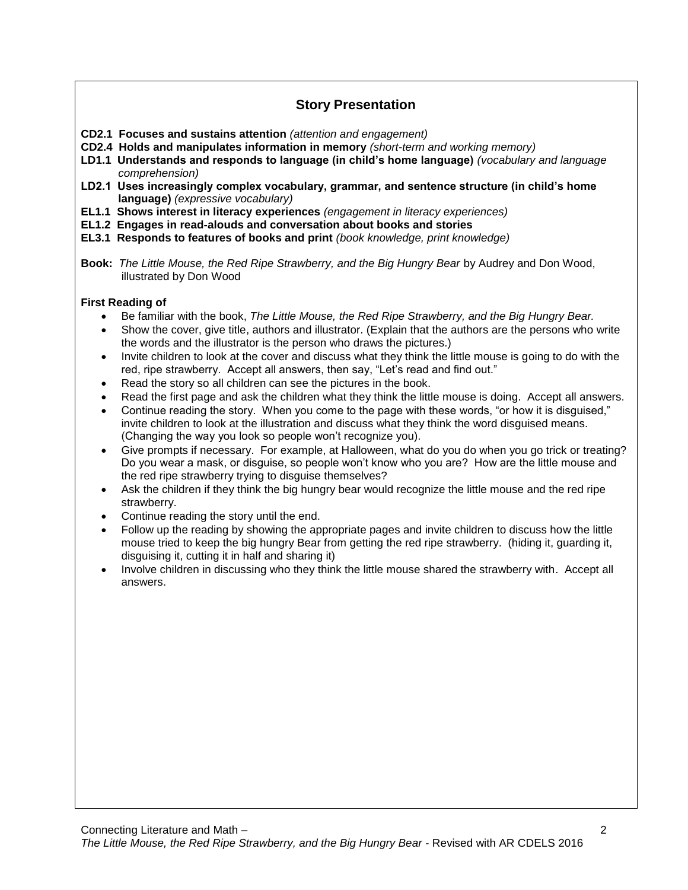## **Story Presentation**

- **CD2.1 Focuses and sustains attention** *(attention and engagement)*
- **CD2.4 Holds and manipulates information in memory** *(short-term and working memory)*
- **LD1.1 Understands and responds to language (in child's home language)** *(vocabulary and language comprehension)*
- **LD2.1 Uses increasingly complex vocabulary, grammar, and sentence structure (in child's home language)** *(expressive vocabulary)*
- **EL1.1 Shows interest in literacy experiences** *(engagement in literacy experiences)*
- **EL1.2 Engages in read-alouds and conversation about books and stories**
- **EL3.1 Responds to features of books and print** *(book knowledge, print knowledge)*
- **Book:** *The Little Mouse, the Red Ripe Strawberry, and the Big Hungry Bear* by Audrey and Don Wood, illustrated by Don Wood

### **First Reading of**

- Be familiar with the book, *The Little Mouse, the Red Ripe Strawberry, and the Big Hungry Bear.*
- Show the cover, give title, authors and illustrator. (Explain that the authors are the persons who write the words and the illustrator is the person who draws the pictures.)
- Invite children to look at the cover and discuss what they think the little mouse is going to do with the red, ripe strawberry. Accept all answers, then say, "Let's read and find out."
- Read the story so all children can see the pictures in the book.
- Read the first page and ask the children what they think the little mouse is doing. Accept all answers.
- Continue reading the story. When you come to the page with these words, "or how it is disguised," invite children to look at the illustration and discuss what they think the word disguised means. (Changing the way you look so people won't recognize you).
- Give prompts if necessary. For example, at Halloween, what do you do when you go trick or treating? Do you wear a mask, or disguise, so people won't know who you are? How are the little mouse and the red ripe strawberry trying to disguise themselves?
- Ask the children if they think the big hungry bear would recognize the little mouse and the red ripe strawberry.
- Continue reading the story until the end.
- Follow up the reading by showing the appropriate pages and invite children to discuss how the little mouse tried to keep the big hungry Bear from getting the red ripe strawberry. (hiding it, guarding it, disguising it, cutting it in half and sharing it)
- Involve children in discussing who they think the little mouse shared the strawberry with. Accept all answers.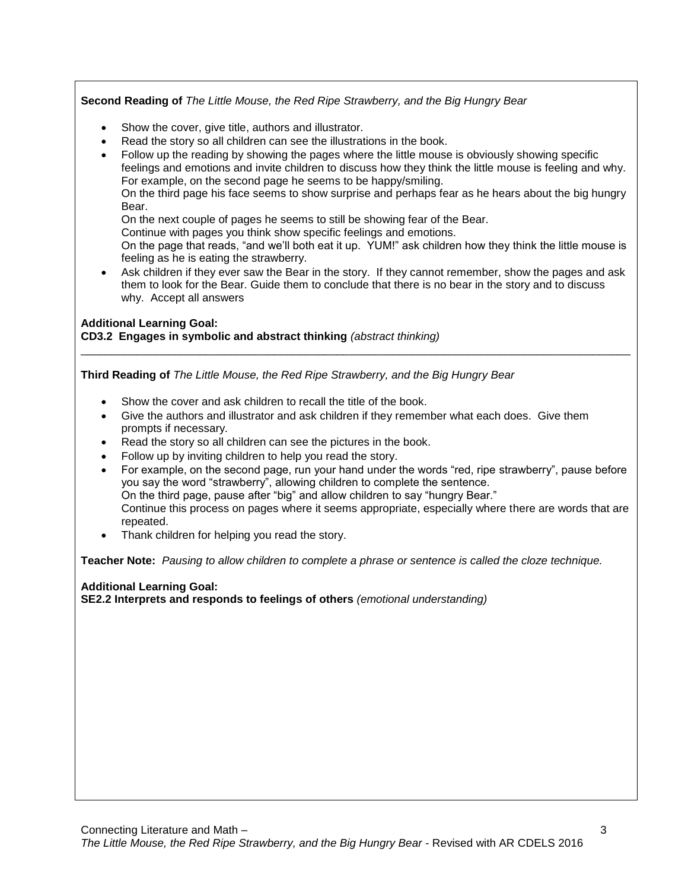### **Second Reading of** *The Little Mouse, the Red Ripe Strawberry, and the Big Hungry Bear*

- Show the cover, give title, authors and illustrator.
- Read the story so all children can see the illustrations in the book.
- Follow up the reading by showing the pages where the little mouse is obviously showing specific feelings and emotions and invite children to discuss how they think the little mouse is feeling and why. For example, on the second page he seems to be happy/smiling. On the third page his face seems to show surprise and perhaps fear as he hears about the big hungry Bear.

On the next couple of pages he seems to still be showing fear of the Bear.

Continue with pages you think show specific feelings and emotions.

On the page that reads, "and we'll both eat it up. YUM!" ask children how they think the little mouse is feeling as he is eating the strawberry.

 Ask children if they ever saw the Bear in the story. If they cannot remember, show the pages and ask them to look for the Bear. Guide them to conclude that there is no bear in the story and to discuss why. Accept all answers

\_\_\_\_\_\_\_\_\_\_\_\_\_\_\_\_\_\_\_\_\_\_\_\_\_\_\_\_\_\_\_\_\_\_\_\_\_\_\_\_\_\_\_\_\_\_\_\_\_\_\_\_\_\_\_\_\_\_\_\_\_\_\_\_\_\_\_\_\_\_\_\_\_\_\_\_\_\_\_\_\_\_\_\_\_\_\_\_

### **Additional Learning Goal:**

**CD3.2 Engages in symbolic and abstract thinking** *(abstract thinking)*

**Third Reading of** *The Little Mouse, the Red Ripe Strawberry, and the Big Hungry Bear*

- Show the cover and ask children to recall the title of the book.
- Give the authors and illustrator and ask children if they remember what each does. Give them prompts if necessary.
- Read the story so all children can see the pictures in the book.
- Follow up by inviting children to help you read the story.
- For example, on the second page, run your hand under the words "red, ripe strawberry", pause before you say the word "strawberry", allowing children to complete the sentence. On the third page, pause after "big" and allow children to say "hungry Bear." Continue this process on pages where it seems appropriate, especially where there are words that are repeated.
- Thank children for helping you read the story.

**Teacher Note:** *Pausing to allow children to complete a phrase or sentence is called the cloze technique.*

### **Additional Learning Goal:**

**SE2.2 Interprets and responds to feelings of others** *(emotional understanding)*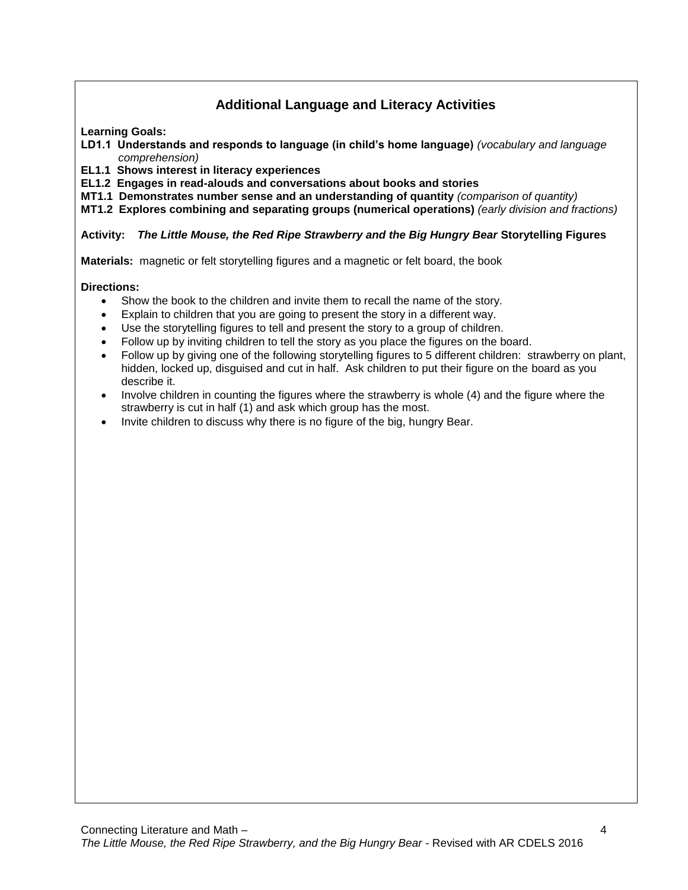# **Additional Language and Literacy Activities**

**Learning Goals:**

- **LD1.1 Understands and responds to language (in child's home language)** *(vocabulary and language comprehension)*
- **EL1.1 Shows interest in literacy experiences**
- **EL1.2 Engages in read-alouds and conversations about books and stories**
- **MT1.1 Demonstrates number sense and an understanding of quantity** *(comparison of quantity)*

**MT1.2 Explores combining and separating groups (numerical operations)** *(early division and fractions)*

### **Activity:** *The Little Mouse, the Red Ripe Strawberry and the Big Hungry Bear* **Storytelling Figures**

**Materials:** magnetic or felt storytelling figures and a magnetic or felt board, the book

### **Directions:**

- Show the book to the children and invite them to recall the name of the story.
- Explain to children that you are going to present the story in a different way.
- Use the storytelling figures to tell and present the story to a group of children.
- Follow up by inviting children to tell the story as you place the figures on the board.
- Follow up by giving one of the following storytelling figures to 5 different children: strawberry on plant, hidden, locked up, disguised and cut in half. Ask children to put their figure on the board as you describe it.
- Involve children in counting the figures where the strawberry is whole (4) and the figure where the strawberry is cut in half (1) and ask which group has the most.
- Invite children to discuss why there is no figure of the big, hungry Bear.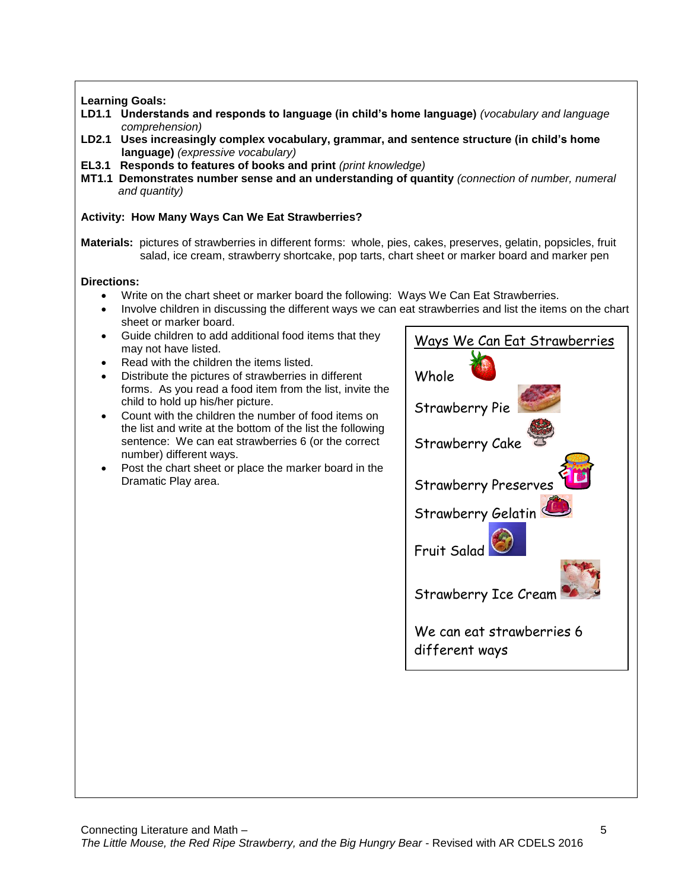### **Learning Goals:**

- **LD1.1 Understands and responds to language (in child's home language)** *(vocabulary and language comprehension)*
- **LD2.1 Uses increasingly complex vocabulary, grammar, and sentence structure (in child's home language)** *(expressive vocabulary)*
- **EL3.1 Responds to features of books and print** *(print knowledge)*
- **MT1.1 Demonstrates number sense and an understanding of quantity** *(connection of number, numeral and quantity)*

### **Activity: How Many Ways Can We Eat Strawberries?**

**Materials:** pictures of strawberries in different forms: whole, pies, cakes, preserves, gelatin, popsicles, fruit salad, ice cream, strawberry shortcake, pop tarts, chart sheet or marker board and marker pen

### **Directions:**

- Write on the chart sheet or marker board the following: Ways We Can Eat Strawberries.
- Involve children in discussing the different ways we can eat strawberries and list the items on the chart sheet or marker board.
- Guide children to add additional food items that they may not have listed.
- Read with the children the items listed.
- Distribute the pictures of strawberries in different forms. As you read a food item from the list, invite the child to hold up his/her picture.
- Count with the children the number of food items on the list and write at the bottom of the list the following sentence: We can eat strawberries 6 (or the correct number) different ways.
- Post the chart sheet or place the marker board in the Dramatic Play area.

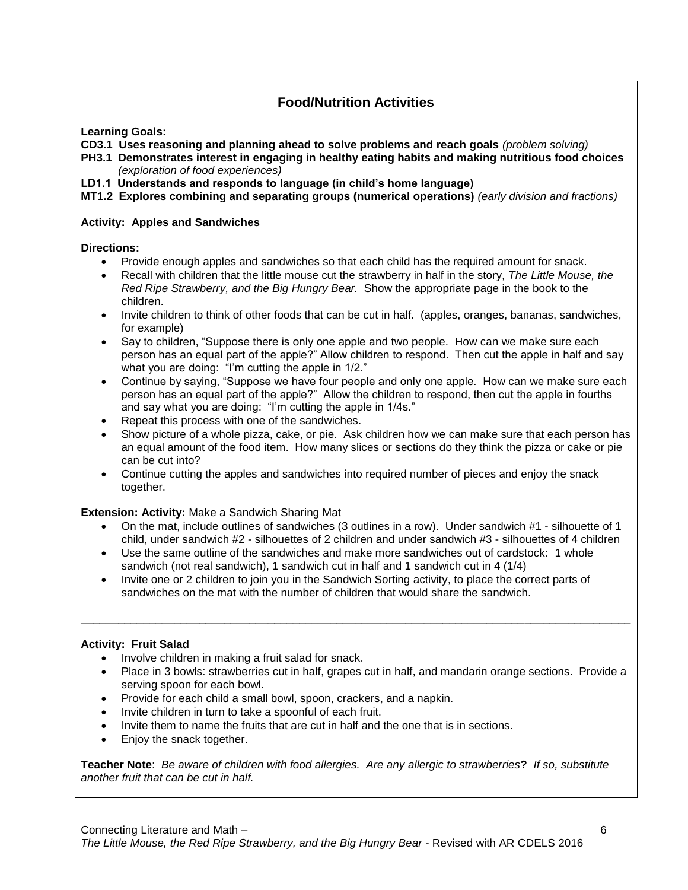## **Food/Nutrition Activities**

**Learning Goals:**

**CD3.1 Uses reasoning and planning ahead to solve problems and reach goals** *(problem solving)*

**PH3.1 Demonstrates interest in engaging in healthy eating habits and making nutritious food choices** *(exploration of food experiences)*

**LD1.1 Understands and responds to language (in child's home language)** 

**MT1.2 Explores combining and separating groups (numerical operations)** *(early division and fractions)*

### **Activity: Apples and Sandwiches**

**Directions:**

- Provide enough apples and sandwiches so that each child has the required amount for snack.
- Recall with children that the little mouse cut the strawberry in half in the story, *The Little Mouse, the Red Ripe Strawberry, and the Big Hungry Bear.* Show the appropriate page in the book to the children.
- Invite children to think of other foods that can be cut in half. (apples, oranges, bananas, sandwiches, for example)
- Say to children, "Suppose there is only one apple and two people. How can we make sure each person has an equal part of the apple?" Allow children to respond. Then cut the apple in half and say what you are doing: "I'm cutting the apple in 1/2."
- Continue by saying, "Suppose we have four people and only one apple. How can we make sure each person has an equal part of the apple?" Allow the children to respond, then cut the apple in fourths and say what you are doing: "I'm cutting the apple in 1/4s."
- Repeat this process with one of the sandwiches.
- Show picture of a whole pizza, cake, or pie. Ask children how we can make sure that each person has an equal amount of the food item. How many slices or sections do they think the pizza or cake or pie can be cut into?
- Continue cutting the apples and sandwiches into required number of pieces and enjoy the snack together.

**Extension: Activity:** Make a Sandwich Sharing Mat

- On the mat, include outlines of sandwiches (3 outlines in a row). Under sandwich #1 silhouette of 1 child, under sandwich #2 - silhouettes of 2 children and under sandwich #3 - silhouettes of 4 children
- Use the same outline of the sandwiches and make more sandwiches out of cardstock: 1 whole sandwich (not real sandwich), 1 sandwich cut in half and 1 sandwich cut in 4 (1/4)
- Invite one or 2 children to join you in the Sandwich Sorting activity, to place the correct parts of sandwiches on the mat with the number of children that would share the sandwich.

\_\_\_\_\_\_\_\_\_\_\_\_\_\_\_\_\_\_\_\_\_\_\_\_\_\_\_\_\_\_\_\_\_\_\_\_\_\_\_\_\_\_\_\_\_\_\_\_\_\_\_\_\_\_\_\_\_\_\_\_\_\_\_\_\_\_\_\_\_\_\_\_\_\_\_\_\_\_\_\_\_\_\_\_\_\_\_\_

### **Activity: Fruit Salad**

- Involve children in making a fruit salad for snack.
- Place in 3 bowls: strawberries cut in half, grapes cut in half, and mandarin orange sections. Provide a serving spoon for each bowl.
- Provide for each child a small bowl, spoon, crackers, and a napkin.
- Invite children in turn to take a spoonful of each fruit.
- Invite them to name the fruits that are cut in half and the one that is in sections.
- Enjoy the snack together.

**Teacher Note**: *Be aware of children with food allergies. Are any allergic to strawberries***?** *If so, substitute another fruit that can be cut in half.*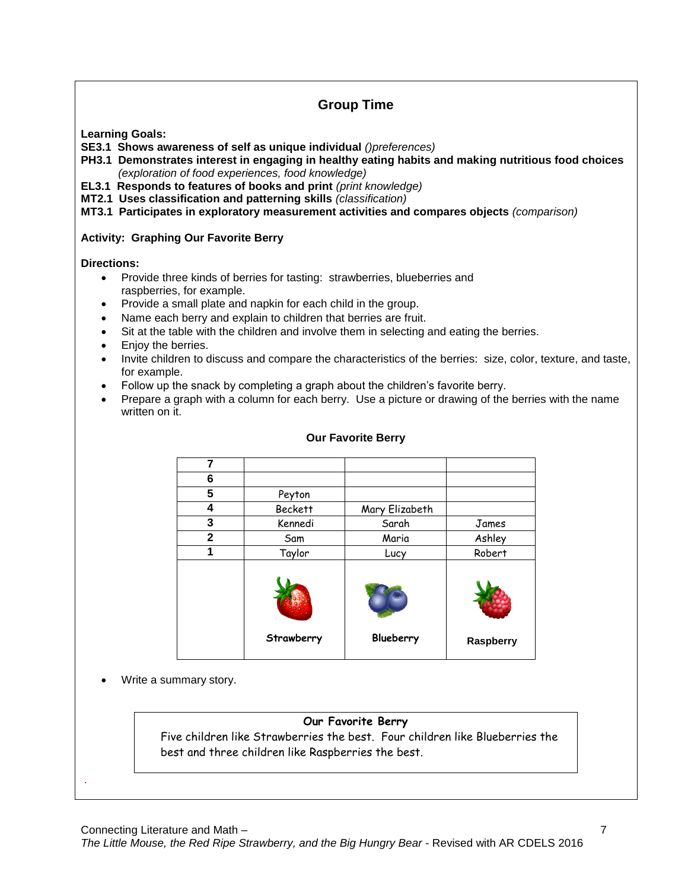# **Group Time**

**Learning Goals:**

**SE3.1 Shows awareness of self as unique individual** *()preferences)*

- **PH3.1 Demonstrates interest in engaging in healthy eating habits and making nutritious food choices** *(exploration of food experiences, food knowledge)*
- **EL3.1 Responds to features of books and print** *(print knowledge)*
- **MT2.1 Uses classification and patterning skills** *(classification)*

**MT3.1 Participates in exploratory measurement activities and compares objects** *(comparison)*

### **Activity: Graphing Our Favorite Berry**

**Directions:**

- Provide three kinds of berries for tasting: strawberries, blueberries and raspberries, for example.
- Provide a small plate and napkin for each child in the group.
- Name each berry and explain to children that berries are fruit.
- Sit at the table with the children and involve them in selecting and eating the berries.
- Enjoy the berries.
- Invite children to discuss and compare the characteristics of the berries: size, color, texture, and taste, for example.
- Follow up the snack by completing a graph about the children's favorite berry.
- Prepare a graph with a column for each berry. Use a picture or drawing of the berries with the name written on it.

| 7            |                |                |           |
|--------------|----------------|----------------|-----------|
| 6            |                |                |           |
| 5            | Peyton         |                |           |
| 4            | <b>Beckett</b> | Mary Elizabeth |           |
| 3            | Kennedi        | Sarah          | James     |
| $\mathbf{2}$ | Sam            | Maria          | Ashley    |
| 1            | Taylor         | Lucy           | Robert    |
|              |                |                |           |
|              | Strawberry     | Blueberry      | Raspberry |

### **Our Favorite Berry**

Write a summary story.

.

### **Our Favorite Berry**

Five children like Strawberries the best. Four children like Blueberries the best and three children like Raspberries the best.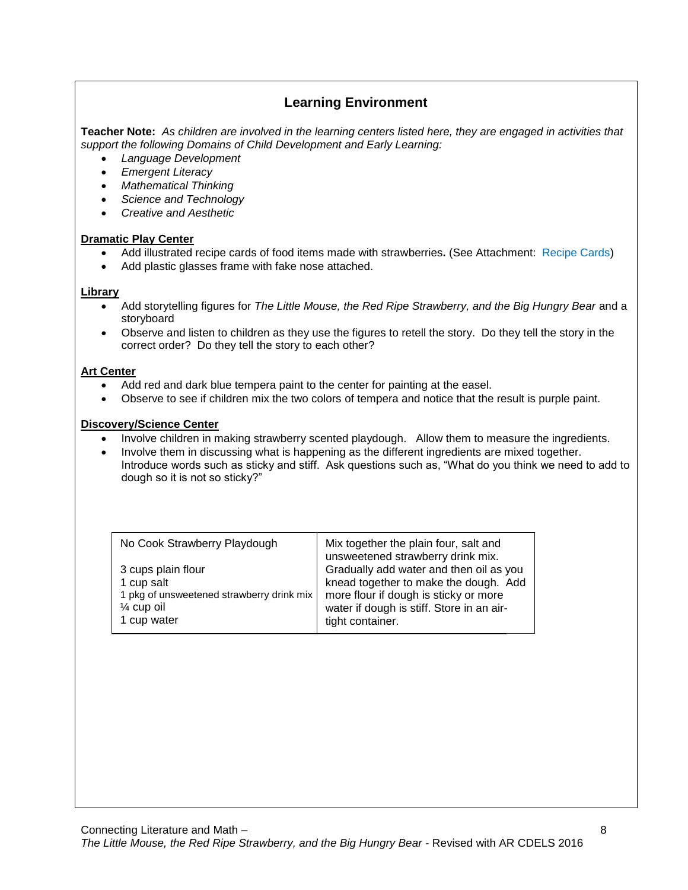## **Learning Environment**

**Teacher Note:** *As children are involved in the learning centers listed here, they are engaged in activities that support the following Domains of Child Development and Early Learning:*

- *Language Development*
- *Emergent Literacy*
- *Mathematical Thinking*
- *Science and Technology*
- *Creative and Aesthetic*

### **Dramatic Play Center**

- Add illustrated recipe cards of food items made with strawberries**.** (See Attachment: Recipe Cards)
- Add plastic glasses frame with fake nose attached.

### **Library**

- Add storytelling figures for *The Little Mouse, the Red Ripe Strawberry, and the Big Hungry Bear* and a storyboard
- Observe and listen to children as they use the figures to retell the story. Do they tell the story in the correct order? Do they tell the story to each other?

### **Art Center**

- Add red and dark blue tempera paint to the center for painting at the easel.
- Observe to see if children mix the two colors of tempera and notice that the result is purple paint.

### **Discovery/Science Center**

- Involve children in making strawberry scented playdough. Allow them to measure the ingredients.
- Involve them in discussing what is happening as the different ingredients are mixed together. Introduce words such as sticky and stiff. Ask questions such as, "What do you think we need to add to dough so it is not so sticky?"

| No Cook Strawberry Playdough              | Mix together the plain four, salt and<br>unsweetened strawberry drink mix. |
|-------------------------------------------|----------------------------------------------------------------------------|
| 3 cups plain flour                        | Gradually add water and then oil as you                                    |
| 1 cup salt                                | knead together to make the dough. Add                                      |
| 1 pkg of unsweetened strawberry drink mix | more flour if dough is sticky or more                                      |
| $\frac{1}{4}$ cup oil                     | water if dough is stiff. Store in an air-                                  |
| 1 cup water                               | tight container.                                                           |